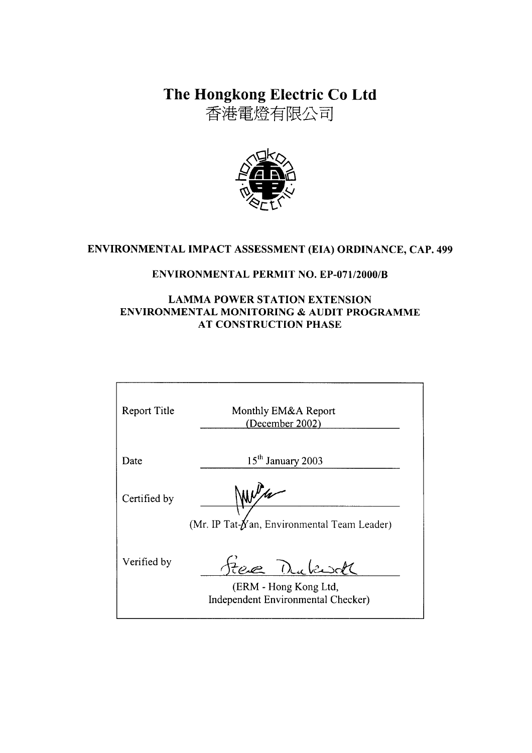The Hongkong Electric Co Ltd

香港電燈有限公司



# ENVIRONMENTAL IMPACT ASSESSMENT (EIA) ORDINANCE, CAP. 499

# **ENVIRONMENTAL PERMIT NO. EP-071/2000/B**

### **LAMMA POWER STATION EXTENSION** ENVIRONMENTAL MONITORING & AUDIT PROGRAMME **AT CONSTRUCTION PHASE**

| <b>Report Title</b> | Monthly EM&A Report<br>(December 2002)                                                                                              |
|---------------------|-------------------------------------------------------------------------------------------------------------------------------------|
| Date                | 15 <sup>th</sup> January 2003                                                                                                       |
| Certified by        | NN/4                                                                                                                                |
| Verified by         | (Mr. IP Tat- <i>N</i> an, Environmental Team Leader)<br>Free Dukwoll<br>(ERM - Hong Kong Ltd,<br>Independent Environmental Checker) |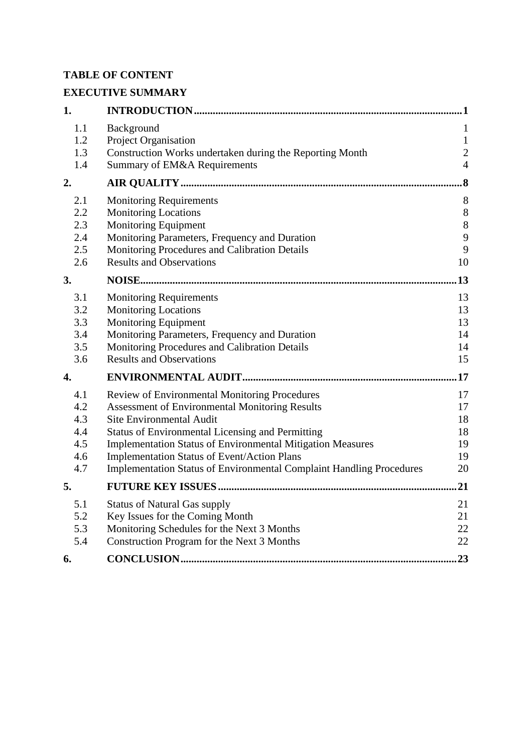# **TABLE OF CONTENT**

# **EXECUTIVE SUMMARY**

| 1.                                            |                                                                                                                                                                                                                                                                                                                                                                                           |                                                              |
|-----------------------------------------------|-------------------------------------------------------------------------------------------------------------------------------------------------------------------------------------------------------------------------------------------------------------------------------------------------------------------------------------------------------------------------------------------|--------------------------------------------------------------|
| 1.1<br>1.2<br>1.3<br>1.4                      | Background<br>Project Organisation<br>Construction Works undertaken during the Reporting Month<br>Summary of EM&A Requirements                                                                                                                                                                                                                                                            | $\mathbf{1}$<br>$\mathbf{1}$<br>$\sqrt{2}$<br>$\overline{4}$ |
| 2.                                            |                                                                                                                                                                                                                                                                                                                                                                                           | $\overline{\mathbf{8}}$                                      |
| 2.1<br>2.2<br>2.3<br>2.4<br>2.5<br>2.6        | <b>Monitoring Requirements</b><br><b>Monitoring Locations</b><br><b>Monitoring Equipment</b><br>Monitoring Parameters, Frequency and Duration<br>Monitoring Procedures and Calibration Details<br><b>Results and Observations</b>                                                                                                                                                         | 8<br>$\,8\,$<br>$\,8\,$<br>9<br>9<br>10                      |
| 3.                                            |                                                                                                                                                                                                                                                                                                                                                                                           | .13                                                          |
| 3.1<br>3.2<br>3.3<br>3.4<br>3.5<br>3.6        | <b>Monitoring Requirements</b><br><b>Monitoring Locations</b><br><b>Monitoring Equipment</b><br>Monitoring Parameters, Frequency and Duration<br>Monitoring Procedures and Calibration Details<br><b>Results and Observations</b>                                                                                                                                                         | 13<br>13<br>13<br>14<br>14<br>15                             |
| $\overline{4}$ .                              |                                                                                                                                                                                                                                                                                                                                                                                           | .17                                                          |
| 4.1<br>4.2<br>4.3<br>4.4<br>4.5<br>4.6<br>4.7 | Review of Environmental Monitoring Procedures<br><b>Assessment of Environmental Monitoring Results</b><br>Site Environmental Audit<br><b>Status of Environmental Licensing and Permitting</b><br>Implementation Status of Environmental Mitigation Measures<br><b>Implementation Status of Event/Action Plans</b><br>Implementation Status of Environmental Complaint Handling Procedures | 17<br>17<br>18<br>18<br>19<br>19<br>20                       |
| 5.                                            |                                                                                                                                                                                                                                                                                                                                                                                           | 21                                                           |
| 5.1<br>5.2<br>5.3<br>5.4                      | <b>Status of Natural Gas supply</b><br>Key Issues for the Coming Month<br>Monitoring Schedules for the Next 3 Months<br>Construction Program for the Next 3 Months                                                                                                                                                                                                                        | 21<br>21<br>22<br>22                                         |
| 6.                                            |                                                                                                                                                                                                                                                                                                                                                                                           | 23                                                           |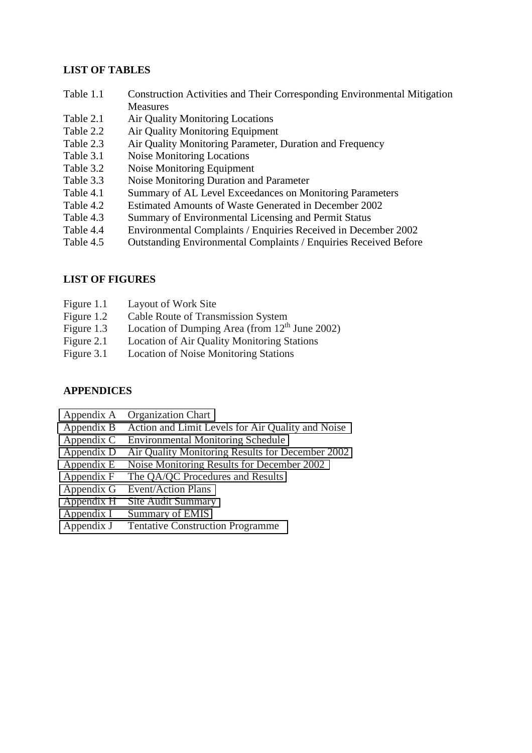#### **LIST OF TABLES**

- Table 1.1 Construction Activities and Their Corresponding Environmental Mitigation **Measures**
- Table 2.1 Air Quality Monitoring Locations
- Table 2.2 Air Quality Monitoring Equipment
- Table 2.3 Air Quality Monitoring Parameter, Duration and Frequency
- Table 3.1 Noise Monitoring Locations
- Table 3.2 Noise Monitoring Equipment
- Table 3.3 Noise Monitoring Duration and Parameter
- Table 4.1 Summary of AL Level Exceedances on Monitoring Parameters
- Table 4.2 Estimated Amounts of Waste Generated in December 2002
- Table 4.3 Summary of Environmental Licensing and Permit Status
- Table 4.4 Environmental Complaints / Enquiries Received in December 2002
- Table 4.5 Outstanding Environmental Complaints / Enquiries Received Before

#### **LIST OF FIGURES**

- Figure 1.1 Layout of Work Site
- Figure 1.2 Cable Route of Transmission System
- Figure 1.3 Location of Dumping Area (from  $12<sup>th</sup>$  June 2002)
- Figure 2.1 Location of Air Quality Monitoring Stations
- Figure 3.1 Location of Noise Monitoring Stations

#### **APPENDICES**

- Appendix A Organization Chart
- Appendix B Action and Limit Levels for Air Quality and Noise
- Appendix C Environmental Monitoring Schedule
- Appendix D Air Quality Monitoring Results for December 2002
- Appendix E Noise Monitoring Results for December 2002
- Appendix F The QA/QC Procedures and Results
- Appendix G Event/Action Plans
- Appendix H Site Audit Summary
- Appendix I Summary of EMIS
- Appendix J Tentative Construction Programme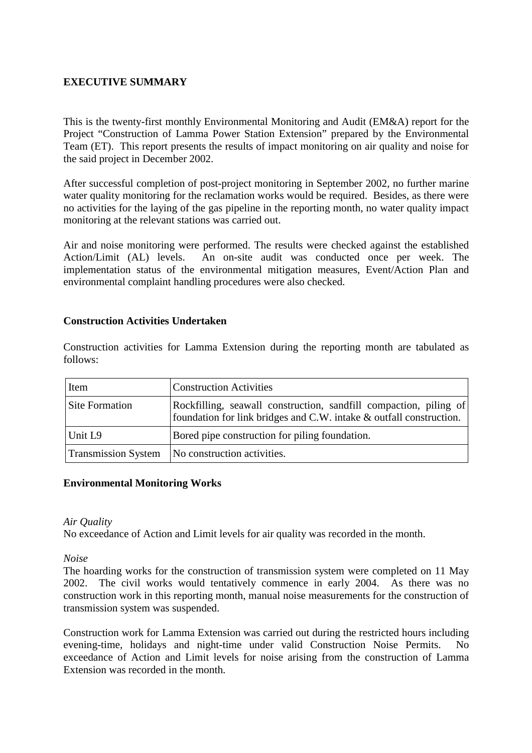### **EXECUTIVE SUMMARY**

This is the twenty-first monthly Environmental Monitoring and Audit (EM&A) report for the Project "Construction of Lamma Power Station Extension" prepared by the Environmental Team (ET). This report presents the results of impact monitoring on air quality and noise for the said project in December 2002.

After successful completion of post-project monitoring in September 2002, no further marine water quality monitoring for the reclamation works would be required. Besides, as there were no activities for the laying of the gas pipeline in the reporting month, no water quality impact monitoring at the relevant stations was carried out.

Air and noise monitoring were performed. The results were checked against the established Action/Limit (AL) levels. An on-site audit was conducted once per week. The implementation status of the environmental mitigation measures, Event/Action Plan and environmental complaint handling procedures were also checked.

#### **Construction Activities Undertaken**

Construction activities for Lamma Extension during the reporting month are tabulated as follows:

| Item                       | <b>Construction Activities</b>                                                                                                           |
|----------------------------|------------------------------------------------------------------------------------------------------------------------------------------|
| <b>Site Formation</b>      | Rockfilling, seawall construction, sandfill compaction, piling of<br>foundation for link bridges and C.W. intake & outfall construction. |
| Unit L9                    | Bored pipe construction for piling foundation.                                                                                           |
| <b>Transmission System</b> | No construction activities.                                                                                                              |

#### **Environmental Monitoring Works**

#### *Air Quality*

No exceedance of Action and Limit levels for air quality was recorded in the month.

*Noise* 

The hoarding works for the construction of transmission system were completed on 11 May 2002. The civil works would tentatively commence in early 2004. As there was no construction work in this reporting month, manual noise measurements for the construction of transmission system was suspended.

Construction work for Lamma Extension was carried out during the restricted hours including evening-time, holidays and night-time under valid Construction Noise Permits. No exceedance of Action and Limit levels for noise arising from the construction of Lamma Extension was recorded in the month.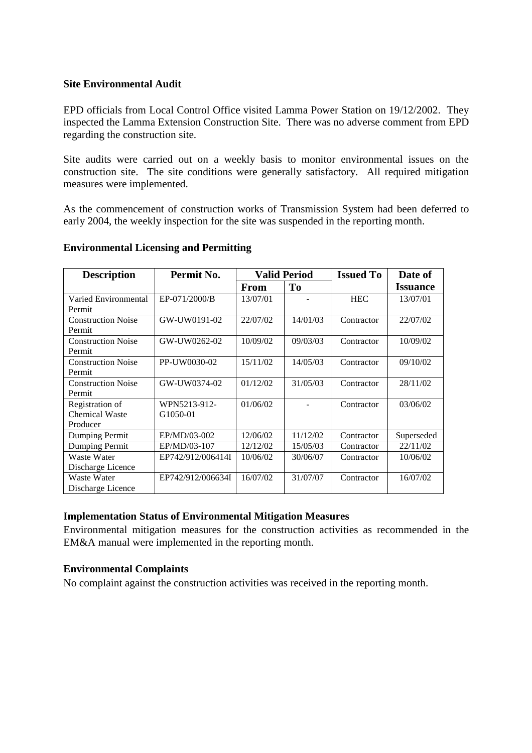#### **Site Environmental Audit**

EPD officials from Local Control Office visited Lamma Power Station on 19/12/2002. They inspected the Lamma Extension Construction Site. There was no adverse comment from EPD regarding the construction site.

Site audits were carried out on a weekly basis to monitor environmental issues on the construction site. The site conditions were generally satisfactory. All required mitigation measures were implemented.

As the commencement of construction works of Transmission System had been deferred to early 2004, the weekly inspection for the site was suspended in the reporting month.

| <b>Description</b>        | Permit No.        | <b>Valid Period</b> |                | <b>Issued To</b> | Date of         |
|---------------------------|-------------------|---------------------|----------------|------------------|-----------------|
|                           |                   | <b>From</b>         | T <sub>0</sub> |                  | <b>Issuance</b> |
| Varied Environmental      | EP-071/2000/B     | 13/07/01            |                | <b>HEC</b>       | 13/07/01        |
| Permit                    |                   |                     |                |                  |                 |
| <b>Construction Noise</b> | GW-UW0191-02      | 22/07/02            | 14/01/03       | Contractor       | 22/07/02        |
| Permit                    |                   |                     |                |                  |                 |
| <b>Construction Noise</b> | GW-UW0262-02      | 10/09/02            | 09/03/03       | Contractor       | 10/09/02        |
| Permit                    |                   |                     |                |                  |                 |
| <b>Construction Noise</b> | PP-UW0030-02      | 15/11/02            | 14/05/03       | Contractor       | 09/10/02        |
| Permit                    |                   |                     |                |                  |                 |
| <b>Construction Noise</b> | GW-UW0374-02      | 01/12/02            | 31/05/03       | Contractor       | 28/11/02        |
| Permit                    |                   |                     |                |                  |                 |
| Registration of           | WPN5213-912-      | 01/06/02            |                | Contractor       | 03/06/02        |
| <b>Chemical Waste</b>     | G1050-01          |                     |                |                  |                 |
| Producer                  |                   |                     |                |                  |                 |
| Dumping Permit            | EP/MD/03-002      | 12/06/02            | 11/12/02       | Contractor       | Superseded      |
| Dumping Permit            | EP/MD/03-107      | 12/12/02            | 15/05/03       | Contractor       | 22/11/02        |
| Waste Water               | EP742/912/006414I | 10/06/02            | 30/06/07       | Contractor       | 10/06/02        |
| Discharge Licence         |                   |                     |                |                  |                 |
| Waste Water               | EP742/912/006634I | 16/07/02            | 31/07/07       | Contractor       | 16/07/02        |
| Discharge Licence         |                   |                     |                |                  |                 |

#### **Environmental Licensing and Permitting**

### **Implementation Status of Environmental Mitigation Measures**

Environmental mitigation measures for the construction activities as recommended in the EM&A manual were implemented in the reporting month.

#### **Environmental Complaints**

No complaint against the construction activities was received in the reporting month.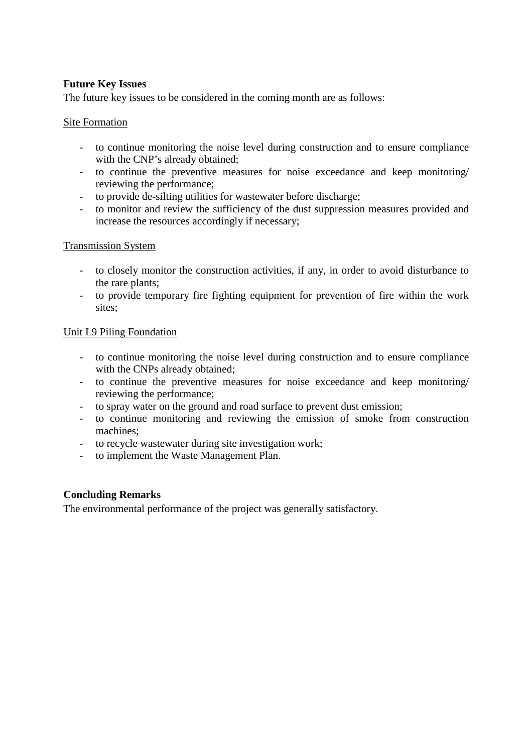## **Future Key Issues**

The future key issues to be considered in the coming month are as follows:

### Site Formation

- to continue monitoring the noise level during construction and to ensure compliance with the CNP's already obtained;
- to continue the preventive measures for noise exceedance and keep monitoring/ reviewing the performance;
- to provide de-silting utilities for wastewater before discharge;
- to monitor and review the sufficiency of the dust suppression measures provided and increase the resources accordingly if necessary;

#### Transmission System

- to closely monitor the construction activities, if any, in order to avoid disturbance to the rare plants;
- to provide temporary fire fighting equipment for prevention of fire within the work sites;

#### Unit L9 Piling Foundation

- to continue monitoring the noise level during construction and to ensure compliance with the CNPs already obtained;
- to continue the preventive measures for noise exceedance and keep monitoring/ reviewing the performance;
- to spray water on the ground and road surface to prevent dust emission;
- to continue monitoring and reviewing the emission of smoke from construction machines;
- to recycle wastewater during site investigation work;
- to implement the Waste Management Plan.

#### **Concluding Remarks**

The environmental performance of the project was generally satisfactory.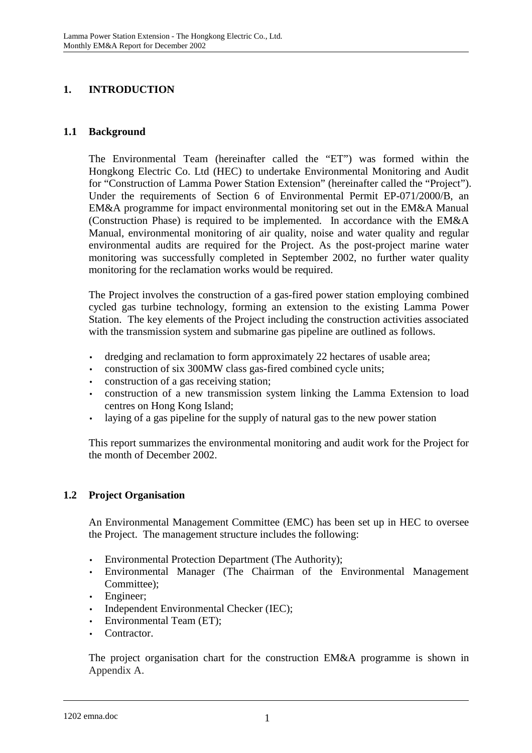# **1. INTRODUCTION**

### **1.1 Background**

The Environmental Team (hereinafter called the "ET") was formed within the Hongkong Electric Co. Ltd (HEC) to undertake Environmental Monitoring and Audit for "Construction of Lamma Power Station Extension" (hereinafter called the "Project"). Under the requirements of Section 6 of Environmental Permit EP-071/2000/B, an EM&A programme for impact environmental monitoring set out in the EM&A Manual (Construction Phase) is required to be implemented. In accordance with the EM&A Manual, environmental monitoring of air quality, noise and water quality and regular environmental audits are required for the Project. As the post-project marine water monitoring was successfully completed in September 2002, no further water quality monitoring for the reclamation works would be required.

The Project involves the construction of a gas-fired power station employing combined cycled gas turbine technology, forming an extension to the existing Lamma Power Station. The key elements of the Project including the construction activities associated with the transmission system and submarine gas pipeline are outlined as follows.

- dredging and reclamation to form approximately 22 hectares of usable area;
- construction of six 300MW class gas-fired combined cycle units;
- construction of a gas receiving station;
- construction of a new transmission system linking the Lamma Extension to load centres on Hong Kong Island;
- laying of a gas pipeline for the supply of natural gas to the new power station

This report summarizes the environmental monitoring and audit work for the Project for the month of December 2002.

# **1.2 Project Organisation**

An Environmental Management Committee (EMC) has been set up in HEC to oversee the Project. The management structure includes the following:

- Environmental Protection Department (The Authority);
- Environmental Manager (The Chairman of the Environmental Management Committee);
- Engineer:
- Independent Environmental Checker (IEC);
- Environmental Team (ET);
- Contractor.

The project organisation chart for the construction EM&A programme is shown in Appendix A.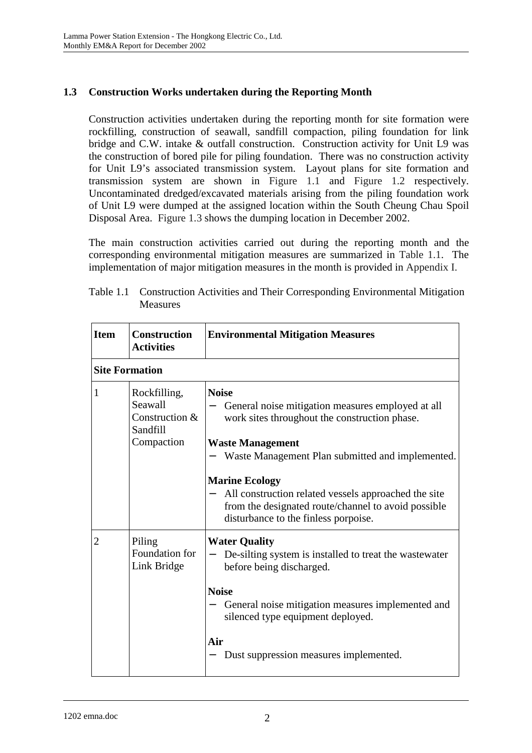# **1.3 Construction Works undertaken during the Reporting Month**

Construction activities undertaken during the reporting month for site formation were rockfilling, construction of seawall, sandfill compaction, piling foundation for link bridge and C.W. intake & outfall construction. Construction activity for Unit L9 was the construction of bored pile for piling foundation. There was no construction activity for Unit L9's associated transmission system. Layout plans for site formation and transmission system are shown in Figure 1.1 and Figure 1.2 respectively. Uncontaminated dredged/excavated materials arising from the piling foundation work of Unit L9 were dumped at the assigned location within the South Cheung Chau Spoil Disposal Area. Figure 1.3 shows the dumping location in December 2002.

The main construction activities carried out during the reporting month and the corresponding environmental mitigation measures are summarized in Table 1.1. The implementation of major mitigation measures in the month is provided in Appendix I.

| <b>Item</b>           | <b>Construction</b><br><b>Activities</b>                            | <b>Environmental Mitigation Measures</b>                                                                                                                                                                                                                                                                                                                                          |
|-----------------------|---------------------------------------------------------------------|-----------------------------------------------------------------------------------------------------------------------------------------------------------------------------------------------------------------------------------------------------------------------------------------------------------------------------------------------------------------------------------|
| <b>Site Formation</b> |                                                                     |                                                                                                                                                                                                                                                                                                                                                                                   |
| $\mathbf{1}$          | Rockfilling,<br>Seawall<br>Construction &<br>Sandfill<br>Compaction | <b>Noise</b><br>General noise mitigation measures employed at all<br>work sites throughout the construction phase.<br><b>Waste Management</b><br>Waste Management Plan submitted and implemented.<br><b>Marine Ecology</b><br>All construction related vessels approached the site<br>from the designated route/channel to avoid possible<br>disturbance to the finless porpoise. |
| $\overline{2}$        | Piling<br>Foundation for<br>Link Bridge                             | <b>Water Quality</b><br>De-silting system is installed to treat the wastewater<br>before being discharged.<br><b>Noise</b><br>General noise mitigation measures implemented and<br>silenced type equipment deployed.<br>Air<br>Dust suppression measures implemented.                                                                                                             |

| Table 1.1 Construction Activities and Their Corresponding Environmental Mitigation |
|------------------------------------------------------------------------------------|
| Measures                                                                           |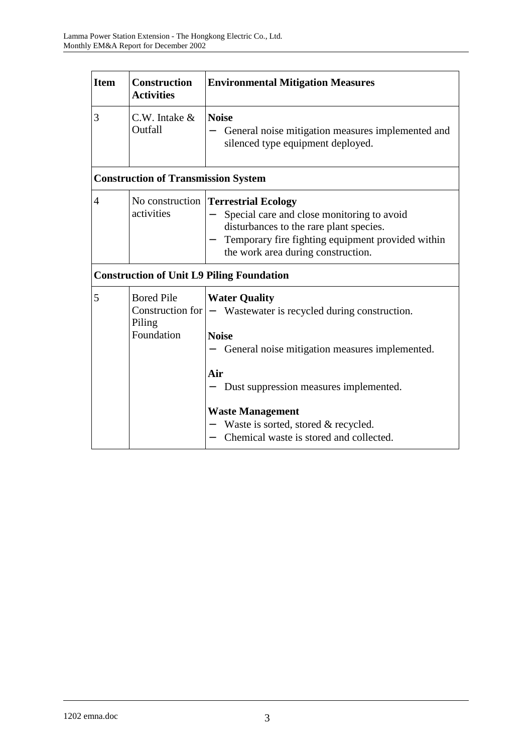| <b>Item</b>    | <b>Construction</b><br><b>Activities</b>   | <b>Environmental Mitigation Measures</b>                                                                                                                                                                                                |
|----------------|--------------------------------------------|-----------------------------------------------------------------------------------------------------------------------------------------------------------------------------------------------------------------------------------------|
| 3              | $C.W.$ Intake $&$<br>Outfall               | <b>Noise</b><br>General noise mitigation measures implemented and<br>silenced type equipment deployed.                                                                                                                                  |
|                | <b>Construction of Transmission System</b> |                                                                                                                                                                                                                                         |
| $\overline{4}$ | activities                                 | No construction Terrestrial Ecology<br>Special care and close monitoring to avoid<br>disturbances to the rare plant species.<br>Temporary fire fighting equipment provided within<br>the work area during construction.                 |
|                |                                            | <b>Construction of Unit L9 Piling Foundation</b>                                                                                                                                                                                        |
| 5              | <b>Bored Pile</b><br>Piling<br>Foundation  | <b>Water Quality</b><br>Construction for $ -$ Wastewater is recycled during construction.<br><b>Noise</b><br>General noise mitigation measures implemented.<br>Air<br>Dust suppression measures implemented.<br><b>Waste Management</b> |
|                |                                            | Waste is sorted, stored & recycled.<br>Chemical waste is stored and collected.                                                                                                                                                          |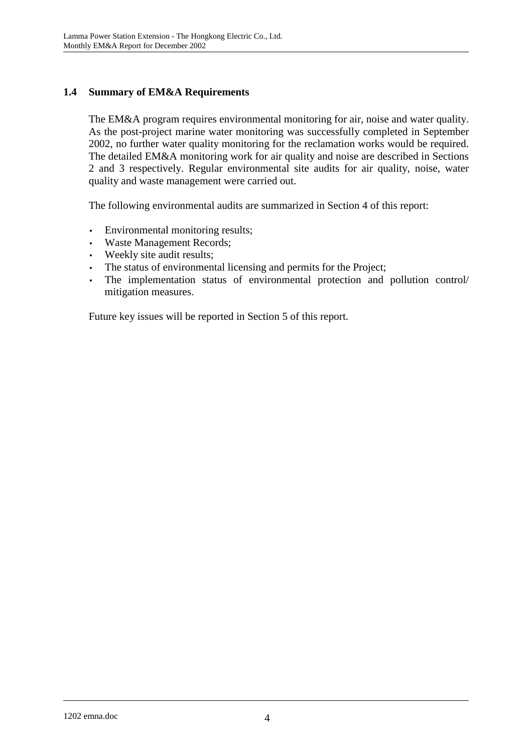# **1.4 Summary of EM&A Requirements**

The EM&A program requires environmental monitoring for air, noise and water quality. As the post-project marine water monitoring was successfully completed in September 2002, no further water quality monitoring for the reclamation works would be required. The detailed EM&A monitoring work for air quality and noise are described in Sections 2 and 3 respectively. Regular environmental site audits for air quality, noise, water quality and waste management were carried out.

The following environmental audits are summarized in Section 4 of this report:

- Environmental monitoring results;
- Waste Management Records;
- Weekly site audit results;
- The status of environmental licensing and permits for the Project;
- The implementation status of environmental protection and pollution control/ mitigation measures.

Future key issues will be reported in Section 5 of this report.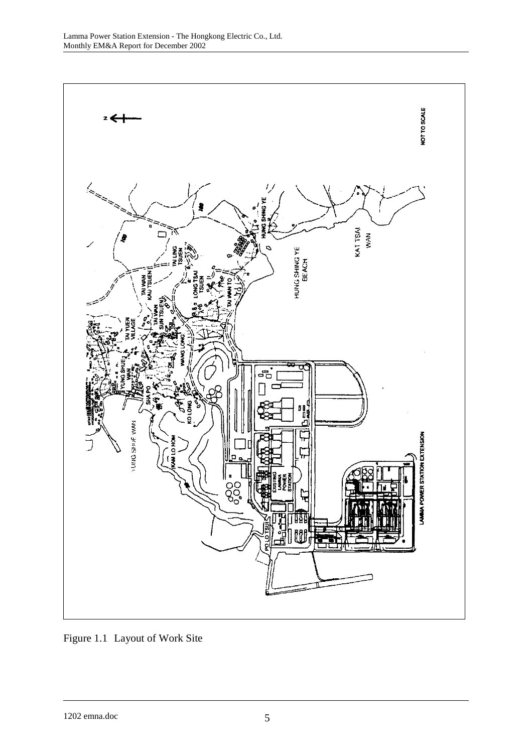

Figure 1.1 Layout of Work Site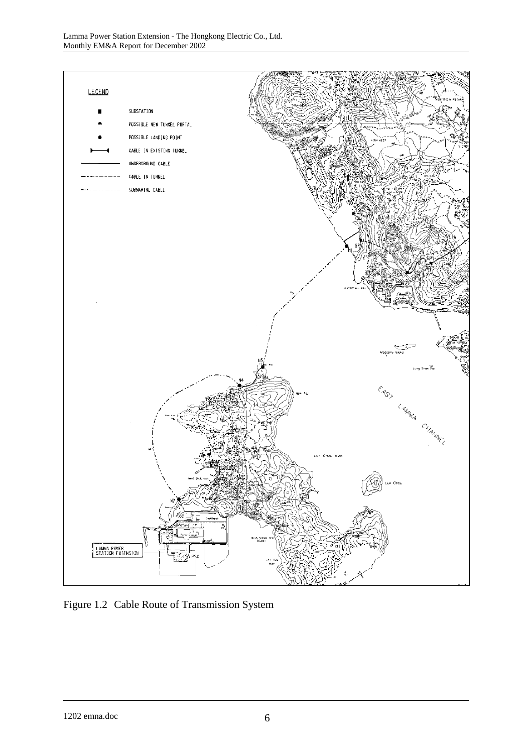

Figure 1.2 Cable Route of Transmission System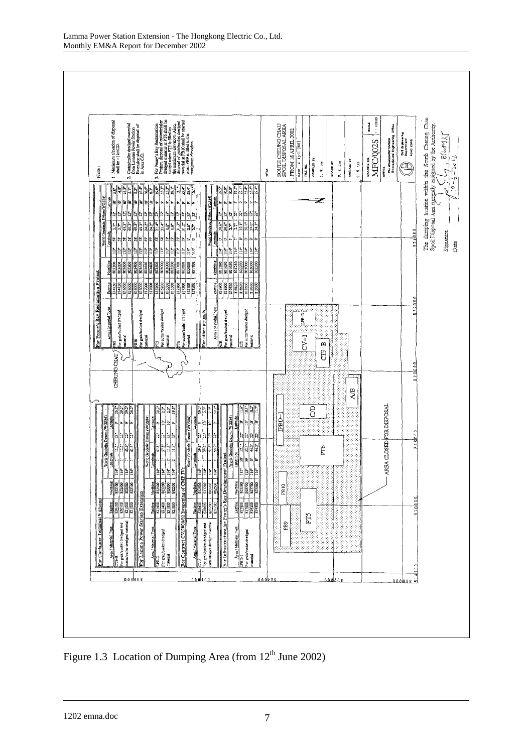

Figure 1.3 Location of Dumping Area (from  $12<sup>th</sup>$  June 2002)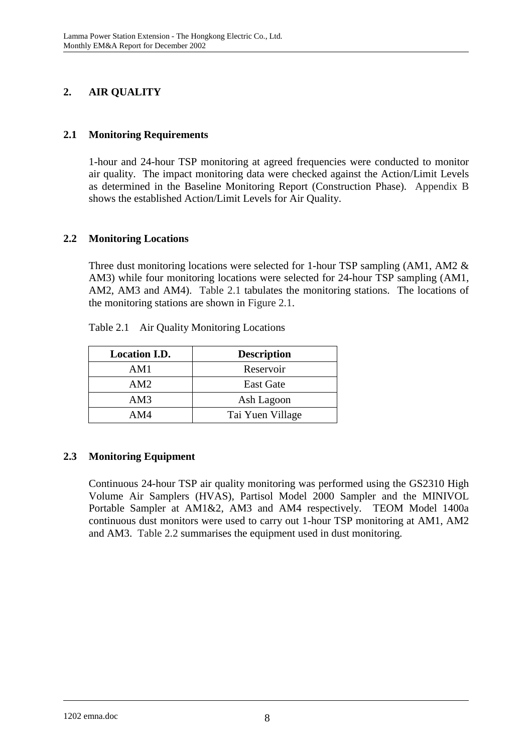# **2. AIR QUALITY**

## **2.1 Monitoring Requirements**

1-hour and 24-hour TSP monitoring at agreed frequencies were conducted to monitor air quality. The impact monitoring data were checked against the Action/Limit Levels as determined in the Baseline Monitoring Report (Construction Phase). Appendix B shows the established Action/Limit Levels for Air Quality.

## **2.2 Monitoring Locations**

Three dust monitoring locations were selected for 1-hour TSP sampling (AM1, AM2 & AM3) while four monitoring locations were selected for 24-hour TSP sampling (AM1, AM2, AM3 and AM4). Table 2.1 tabulates the monitoring stations. The locations of the monitoring stations are shown in Figure 2.1.

| <b>Location I.D.</b> | <b>Description</b> |
|----------------------|--------------------|
| AM1                  | Reservoir          |
| AM2                  | <b>East Gate</b>   |
| AM3                  | Ash Lagoon         |
| AM4                  | Tai Yuen Village   |

Table 2.1 Air Quality Monitoring Locations

# **2.3 Monitoring Equipment**

Continuous 24-hour TSP air quality monitoring was performed using the GS2310 High Volume Air Samplers (HVAS), Partisol Model 2000 Sampler and the MINIVOL Portable Sampler at AM1&2, AM3 and AM4 respectively. TEOM Model 1400a continuous dust monitors were used to carry out 1-hour TSP monitoring at AM1, AM2 and AM3. Table 2.2 summarises the equipment used in dust monitoring.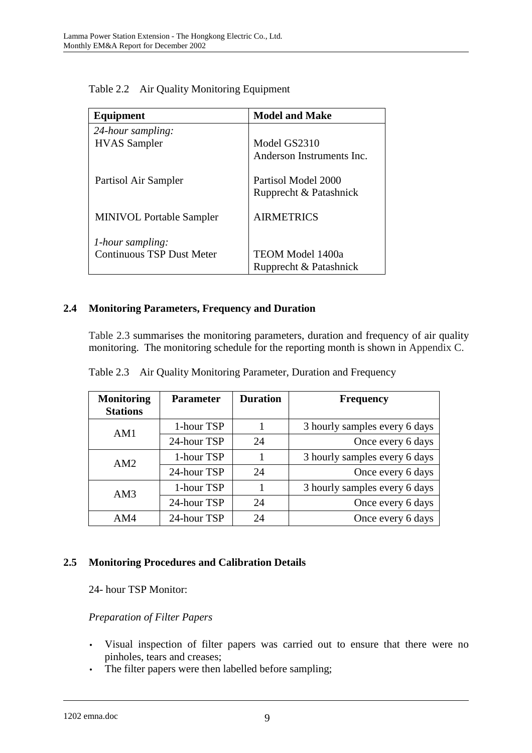| Equipment                        | <b>Model and Make</b>     |
|----------------------------------|---------------------------|
| 24-hour sampling:                |                           |
| <b>HVAS</b> Sampler              | Model GS2310              |
|                                  | Anderson Instruments Inc. |
| Partisol Air Sampler             | Partisol Model 2000       |
|                                  | Rupprecht & Patashnick    |
| <b>MINIVOL Portable Sampler</b>  | <b>AIRMETRICS</b>         |
| <i>l</i> -hour sampling:         |                           |
| <b>Continuous TSP Dust Meter</b> | <b>TEOM Model 1400a</b>   |
|                                  | Rupprecht & Patashnick    |

Table 2.2 Air Quality Monitoring Equipment

## **2.4 Monitoring Parameters, Frequency and Duration**

Table 2.3 summarises the monitoring parameters, duration and frequency of air quality monitoring. The monitoring schedule for the reporting month is shown in Appendix C.

| <b>Monitoring</b><br><b>Stations</b> | <b>Parameter</b> | <b>Duration</b> | <b>Frequency</b>              |
|--------------------------------------|------------------|-----------------|-------------------------------|
| AM1                                  | 1-hour TSP       |                 | 3 hourly samples every 6 days |
|                                      | 24-hour TSP      | 24              | Once every 6 days             |
| AM2                                  | 1-hour TSP       |                 | 3 hourly samples every 6 days |
|                                      | 24-hour TSP      | 24              | Once every 6 days             |
| AM3                                  | 1-hour TSP       |                 | 3 hourly samples every 6 days |
|                                      | 24-hour TSP      | 24              | Once every 6 days             |
| AM4                                  | 24-hour TSP      | 24              | Once every 6 days             |

Table 2.3 Air Quality Monitoring Parameter, Duration and Frequency

### **2.5 Monitoring Procedures and Calibration Details**

24- hour TSP Monitor:

### *Preparation of Filter Papers*

- Visual inspection of filter papers was carried out to ensure that there were no pinholes, tears and creases;
- The filter papers were then labelled before sampling;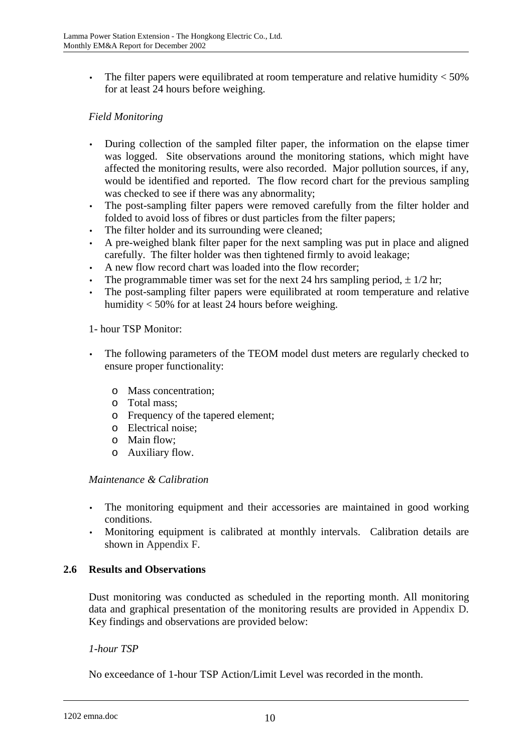The filter papers were equilibrated at room temperature and relative humidity  $<$  50% for at least 24 hours before weighing.

### *Field Monitoring*

- During collection of the sampled filter paper, the information on the elapse timer was logged. Site observations around the monitoring stations, which might have affected the monitoring results, were also recorded. Major pollution sources, if any, would be identified and reported. The flow record chart for the previous sampling was checked to see if there was any abnormality;
- The post-sampling filter papers were removed carefully from the filter holder and folded to avoid loss of fibres or dust particles from the filter papers;
- The filter holder and its surrounding were cleaned;
- A pre-weighed blank filter paper for the next sampling was put in place and aligned carefully. The filter holder was then tightened firmly to avoid leakage;
- A new flow record chart was loaded into the flow recorder;
- The programmable timer was set for the next 24 hrs sampling period,  $\pm 1/2$  hr;
- The post-sampling filter papers were equilibrated at room temperature and relative humidity < 50% for at least 24 hours before weighing.

#### 1- hour TSP Monitor:

- The following parameters of the TEOM model dust meters are regularly checked to ensure proper functionality:
	- o Mass concentration;
	- o Total mass;
	- o Frequency of the tapered element;
	- o Electrical noise;
	- o Main flow;
	- o Auxiliary flow.

#### *Maintenance & Calibration*

- The monitoring equipment and their accessories are maintained in good working conditions.
- Monitoring equipment is calibrated at monthly intervals. Calibration details are shown in Appendix F.

### **2.6 Results and Observations**

Dust monitoring was conducted as scheduled in the reporting month. All monitoring data and graphical presentation of the monitoring results are provided in Appendix D. Key findings and observations are provided below:

#### *1-hour TSP*

No exceedance of 1-hour TSP Action/Limit Level was recorded in the month.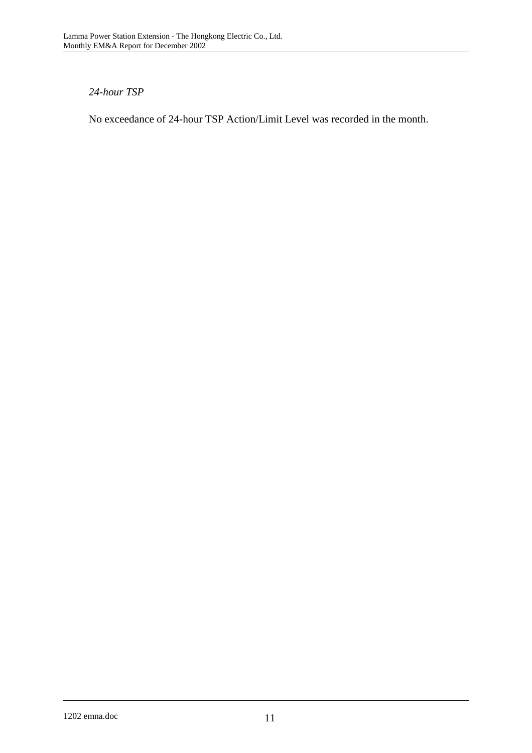### *24-hour TSP*

No exceedance of 24-hour TSP Action/Limit Level was recorded in the month.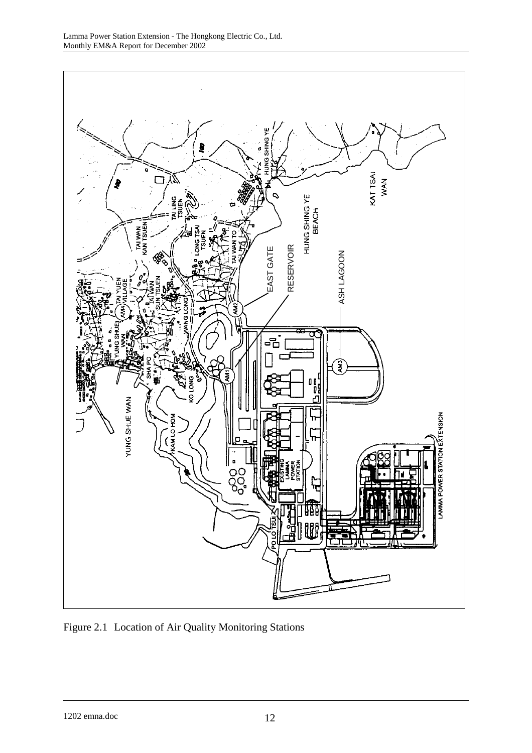

Figure 2.1 Location of Air Quality Monitoring Stations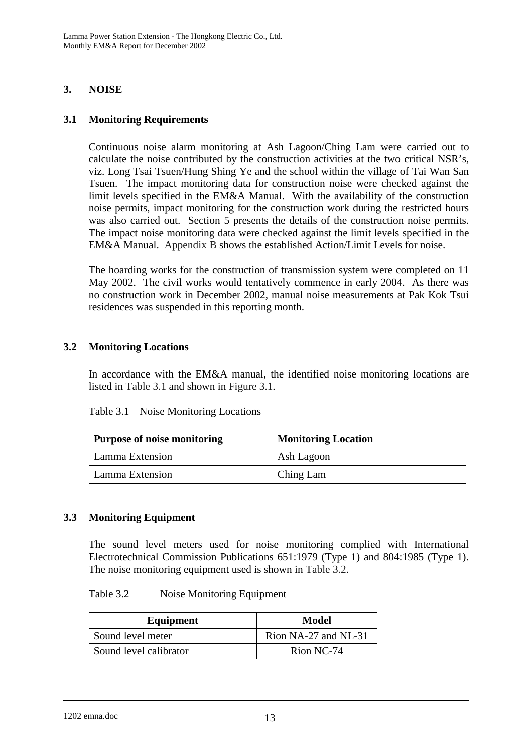# **3. NOISE**

### **3.1 Monitoring Requirements**

Continuous noise alarm monitoring at Ash Lagoon/Ching Lam were carried out to calculate the noise contributed by the construction activities at the two critical NSR's, viz. Long Tsai Tsuen/Hung Shing Ye and the school within the village of Tai Wan San Tsuen. The impact monitoring data for construction noise were checked against the limit levels specified in the EM&A Manual. With the availability of the construction noise permits, impact monitoring for the construction work during the restricted hours was also carried out. Section 5 presents the details of the construction noise permits. The impact noise monitoring data were checked against the limit levels specified in the EM&A Manual. Appendix B shows the established Action/Limit Levels for noise.

The hoarding works for the construction of transmission system were completed on 11 May 2002. The civil works would tentatively commence in early 2004. As there was no construction work in December 2002, manual noise measurements at Pak Kok Tsui residences was suspended in this reporting month.

## **3.2 Monitoring Locations**

In accordance with the EM&A manual, the identified noise monitoring locations are listed in Table 3.1 and shown in Figure 3.1.

| Table 3.1 | Noise Monitoring Locations |
|-----------|----------------------------|
|-----------|----------------------------|

| <b>Purpose of noise monitoring</b> | <b>Monitoring Location</b> |
|------------------------------------|----------------------------|
| Lamma Extension                    | Ash Lagoon                 |
| Lamma Extension                    | Ching Lam                  |

### **3.3 Monitoring Equipment**

The sound level meters used for noise monitoring complied with International Electrotechnical Commission Publications 651:1979 (Type 1) and 804:1985 (Type 1). The noise monitoring equipment used is shown in Table 3.2.

#### Table 3.2 Noise Monitoring Equipment

| Equipment              | Model                |
|------------------------|----------------------|
| Sound level meter      | Rion NA-27 and NL-31 |
| Sound level calibrator | Rion NC-74           |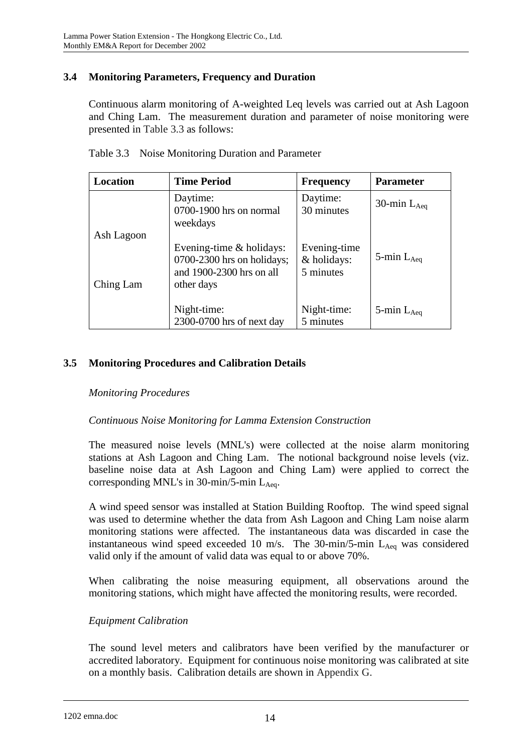## **3.4 Monitoring Parameters, Frequency and Duration**

Continuous alarm monitoring of A-weighted Leq levels was carried out at Ash Lagoon and Ching Lam. The measurement duration and parameter of noise monitoring were presented in Table 3.3 as follows:

| Location                | <b>Time Period</b>                                                                               | <b>Frequency</b>                         | <b>Parameter</b>   |
|-------------------------|--------------------------------------------------------------------------------------------------|------------------------------------------|--------------------|
|                         | Daytime:<br>0700-1900 hrs on normal<br>weekdays                                                  | Daytime:<br>30 minutes                   | 30-min $L_{Aeq}$   |
| Ash Lagoon<br>Ching Lam | Evening-time & holidays:<br>0700-2300 hrs on holidays;<br>and 1900-2300 hrs on all<br>other days | Evening-time<br>& holidays:<br>5 minutes | 5-min $L_{Aeq}$    |
|                         | Night-time:<br>2300-0700 hrs of next day                                                         | Night-time:<br>5 minutes                 | $5$ -min $L_{Aeq}$ |

Table 3.3 Noise Monitoring Duration and Parameter

## **3.5 Monitoring Procedures and Calibration Details**

### *Monitoring Procedures*

### *Continuous Noise Monitoring for Lamma Extension Construction*

The measured noise levels (MNL's) were collected at the noise alarm monitoring stations at Ash Lagoon and Ching Lam. The notional background noise levels (viz. baseline noise data at Ash Lagoon and Ching Lam) were applied to correct the corresponding MNL's in 30-min/5-min  $L_{Aea}$ .

A wind speed sensor was installed at Station Building Rooftop. The wind speed signal was used to determine whether the data from Ash Lagoon and Ching Lam noise alarm monitoring stations were affected. The instantaneous data was discarded in case the instantaneous wind speed exceeded 10 m/s. The 30-min/5-min  $L_{A_{eq}}$  was considered valid only if the amount of valid data was equal to or above 70%.

When calibrating the noise measuring equipment, all observations around the monitoring stations, which might have affected the monitoring results, were recorded.

### *Equipment Calibration*

The sound level meters and calibrators have been verified by the manufacturer or accredited laboratory. Equipment for continuous noise monitoring was calibrated at site on a monthly basis. Calibration details are shown in Appendix G.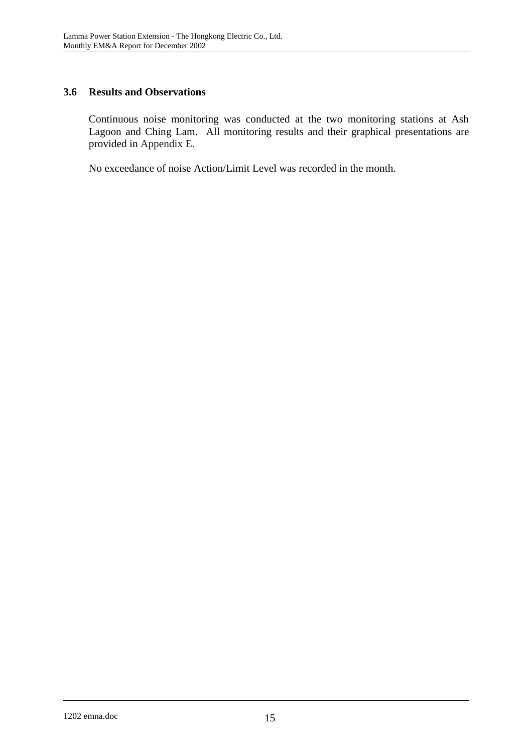### **3.6 Results and Observations**

Continuous noise monitoring was conducted at the two monitoring stations at Ash Lagoon and Ching Lam. All monitoring results and their graphical presentations are provided in Appendix E.

No exceedance of noise Action/Limit Level was recorded in the month.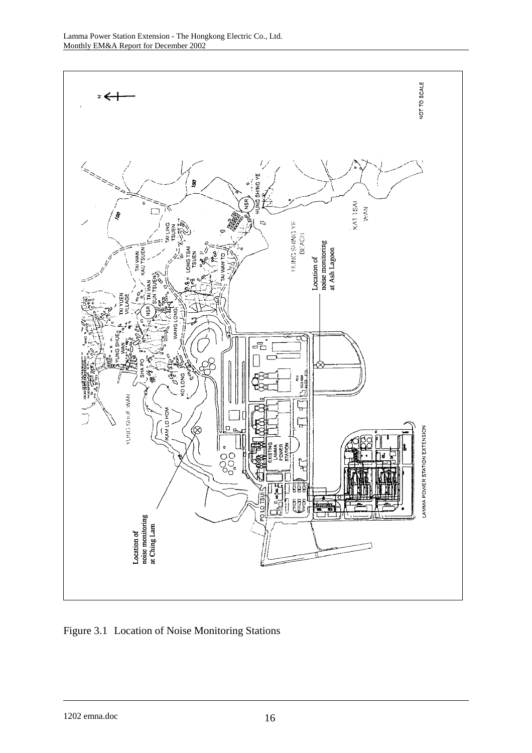

Figure 3.1 Location of Noise Monitoring Stations

1202 emna.doc 16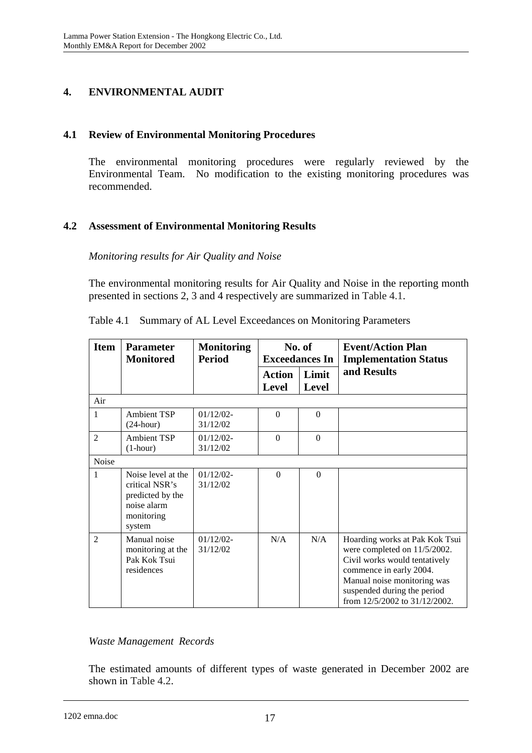# **4. ENVIRONMENTAL AUDIT**

### **4.1 Review of Environmental Monitoring Procedures**

The environmental monitoring procedures were regularly reviewed by the Environmental Team. No modification to the existing monitoring procedures was recommended.

### **4.2 Assessment of Environmental Monitoring Results**

*Monitoring results for Air Quality and Noise* 

The environmental monitoring results for Air Quality and Noise in the reporting month presented in sections 2, 3 and 4 respectively are summarized in Table 4.1.

| <b>Item</b>    | <b>Parameter</b><br><b>Monitored</b>                                                            | <b>Monitoring</b><br><b>Period</b> |                               | No. of<br><b>Exceedances In</b> | <b>Event/Action Plan</b><br><b>Implementation Status</b>                                                                                                                                                                  |
|----------------|-------------------------------------------------------------------------------------------------|------------------------------------|-------------------------------|---------------------------------|---------------------------------------------------------------------------------------------------------------------------------------------------------------------------------------------------------------------------|
|                |                                                                                                 |                                    | <b>Action</b><br><b>Level</b> | Limit<br><b>Level</b>           | and Results                                                                                                                                                                                                               |
| Air            |                                                                                                 |                                    |                               |                                 |                                                                                                                                                                                                                           |
| 1              | <b>Ambient TSP</b><br>$(24$ -hour)                                                              | $01/12/02$ -<br>31/12/02           | $\Omega$                      | $\Omega$                        |                                                                                                                                                                                                                           |
| $\overline{2}$ | <b>Ambient TSP</b><br>$(1-hour)$                                                                | $01/12/02 -$<br>31/12/02           | $\Omega$                      | $\Omega$                        |                                                                                                                                                                                                                           |
| <b>Noise</b>   |                                                                                                 |                                    |                               |                                 |                                                                                                                                                                                                                           |
| 1              | Noise level at the<br>critical NSR's<br>predicted by the<br>noise alarm<br>monitoring<br>system | $01/12/02$ -<br>31/12/02           | $\Omega$                      | $\Omega$                        |                                                                                                                                                                                                                           |
| $\overline{2}$ | Manual noise<br>monitoring at the<br>Pak Kok Tsui<br>residences                                 | $01/12/02 -$<br>31/12/02           | N/A                           | N/A                             | Hoarding works at Pak Kok Tsui<br>were completed on 11/5/2002.<br>Civil works would tentatively<br>commence in early 2004.<br>Manual noise monitoring was<br>suspended during the period<br>from 12/5/2002 to 31/12/2002. |

|  |  |  |  |  | Table 4.1 Summary of AL Level Exceedances on Monitoring Parameters |
|--|--|--|--|--|--------------------------------------------------------------------|
|--|--|--|--|--|--------------------------------------------------------------------|

### *Waste Management Records*

The estimated amounts of different types of waste generated in December 2002 are shown in Table 4.2.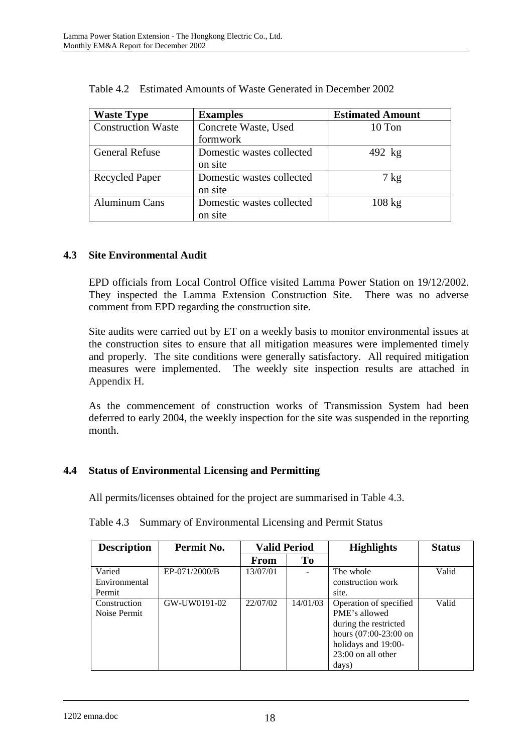| <b>Waste Type</b>         | <b>Examples</b>           | <b>Estimated Amount</b> |
|---------------------------|---------------------------|-------------------------|
| <b>Construction Waste</b> | Concrete Waste, Used      | 10 Ton                  |
|                           | formwork                  |                         |
| <b>General Refuse</b>     | Domestic wastes collected | 492 kg                  |
|                           | on site                   |                         |
| <b>Recycled Paper</b>     | Domestic wastes collected | $7 \text{ kg}$          |
|                           | on site                   |                         |
| <b>Aluminum Cans</b>      | Domestic wastes collected | $108 \text{ kg}$        |
|                           | on site                   |                         |

| Table 4.2 Estimated Amounts of Waste Generated in December 2002 |  |  |
|-----------------------------------------------------------------|--|--|
|                                                                 |  |  |

### **4.3 Site Environmental Audit**

EPD officials from Local Control Office visited Lamma Power Station on 19/12/2002. They inspected the Lamma Extension Construction Site. There was no adverse comment from EPD regarding the construction site.

Site audits were carried out by ET on a weekly basis to monitor environmental issues at the construction sites to ensure that all mitigation measures were implemented timely and properly. The site conditions were generally satisfactory. All required mitigation measures were implemented. The weekly site inspection results are attached in Appendix H.

As the commencement of construction works of Transmission System had been deferred to early 2004, the weekly inspection for the site was suspended in the reporting month.

### **4.4 Status of Environmental Licensing and Permitting**

All permits/licenses obtained for the project are summarised in Table 4.3.

| <b>Description</b> | Permit No.    | <b>Valid Period</b> |                | <b>Highlights</b>      | <b>Status</b> |
|--------------------|---------------|---------------------|----------------|------------------------|---------------|
|                    |               | <b>From</b>         | T <sub>0</sub> |                        |               |
| Varied             | EP-071/2000/B | 13/07/01            |                | The whole              | Valid         |
| Environmental      |               |                     |                | construction work      |               |
| Permit             |               |                     |                | site.                  |               |
| Construction       | GW-UW0191-02  | 22/07/02            | 14/01/03       | Operation of specified | Valid         |
| Noise Permit       |               |                     |                | PME's allowed          |               |
|                    |               |                     |                | during the restricted  |               |
|                    |               |                     |                | hours (07:00-23:00 on  |               |
|                    |               |                     |                | holidays and 19:00-    |               |
|                    |               |                     |                | $23:00$ on all other   |               |
|                    |               |                     |                | days)                  |               |

Table 4.3 Summary of Environmental Licensing and Permit Status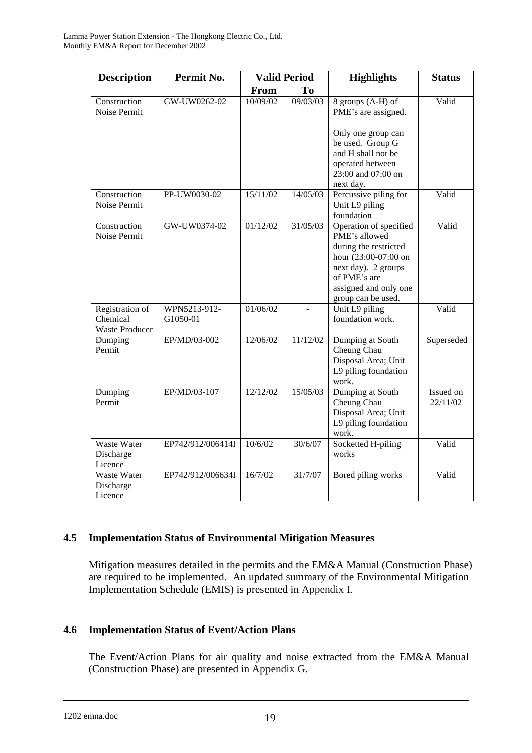| <b>Description</b>                                   | Permit No.               | <b>Valid Period</b> |          | <b>Highlights</b>                                                                                                                                                              | <b>Status</b>         |  |
|------------------------------------------------------|--------------------------|---------------------|----------|--------------------------------------------------------------------------------------------------------------------------------------------------------------------------------|-----------------------|--|
|                                                      |                          | From                | To       |                                                                                                                                                                                |                       |  |
| Construction<br>Noise Permit                         | GW-UW0262-02             | 10/09/02            | 09/03/03 | 8 groups (A-H) of<br>PME's are assigned.<br>Only one group can<br>be used. Group G<br>and H shall not be                                                                       | Valid                 |  |
|                                                      |                          |                     |          | operated between<br>23:00 and 07:00 on<br>next day.                                                                                                                            |                       |  |
| Construction<br>Noise Permit                         | PP-UW0030-02             | 15/11/02            | 14/05/03 | Percussive piling for<br>Unit L9 piling<br>foundation                                                                                                                          | Valid                 |  |
| Construction<br>Noise Permit                         | GW-UW0374-02             | 01/12/02            | 31/05/03 | Operation of specified<br>PME's allowed<br>during the restricted<br>hour (23:00-07:00 on<br>next day). 2 groups<br>of PME's are<br>assigned and only one<br>group can be used. | Valid                 |  |
| Registration of<br>Chemical<br><b>Waste Producer</b> | WPN5213-912-<br>G1050-01 | 01/06/02            | $\sim$   | Unit L9 piling<br>foundation work.                                                                                                                                             | Valid                 |  |
| Dumping<br>Permit                                    | EP/MD/03-002             | 12/06/02            | 11/12/02 | Dumping at South<br>Cheung Chau<br>Disposal Area; Unit<br>L9 piling foundation<br>work.                                                                                        | Superseded            |  |
| Dumping<br>Permit                                    | EP/MD/03-107             | 12/12/02            | 15/05/03 | Dumping at South<br>Cheung Chau<br>Disposal Area; Unit<br>L9 piling foundation<br>work.                                                                                        | Issued on<br>22/11/02 |  |
| Waste Water<br>Discharge<br>Licence                  | EP742/912/006414I        | 10/6/02             | 30/6/07  | Socketted H-piling<br>works                                                                                                                                                    | Valid                 |  |
| Waste Water<br>Discharge<br>Licence                  | EP742/912/006634I        | 16/7/02             | 31/7/07  | Bored piling works                                                                                                                                                             | Valid                 |  |

# **4.5 Implementation Status of Environmental Mitigation Measures**

Mitigation measures detailed in the permits and the EM&A Manual (Construction Phase) are required to be implemented. An updated summary of the Environmental Mitigation Implementation Schedule (EMIS) is presented in Appendix I.

# **4.6 Implementation Status of Event/Action Plans**

The Event/Action Plans for air quality and noise extracted from the EM&A Manual (Construction Phase) are presented in Appendix G.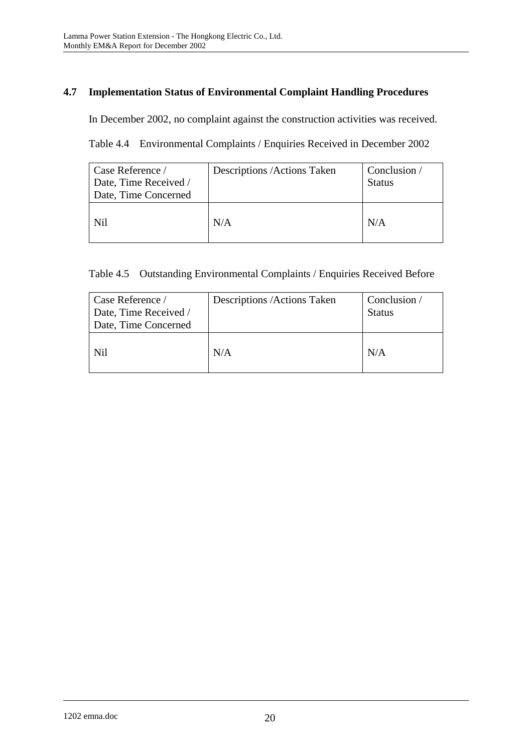# **4.7 Implementation Status of Environmental Complaint Handling Procedures**

In December 2002, no complaint against the construction activities was received.

Table 4.4 Environmental Complaints / Enquiries Received in December 2002

| Case Reference /<br>Date, Time Received /<br>Date, Time Concerned | Descriptions / Actions Taken | Conclusion /<br><b>Status</b> |
|-------------------------------------------------------------------|------------------------------|-------------------------------|
| Nil                                                               | N/A                          | N/A                           |

|  |  |  |  |  | Table 4.5 Outstanding Environmental Complaints / Enquiries Received Before |  |
|--|--|--|--|--|----------------------------------------------------------------------------|--|
|--|--|--|--|--|----------------------------------------------------------------------------|--|

| Case Reference /<br>Date, Time Received /<br>Date, Time Concerned | Descriptions / Actions Taken | Conclusion /<br><b>Status</b> |
|-------------------------------------------------------------------|------------------------------|-------------------------------|
| Nil                                                               | N/A                          | N/A                           |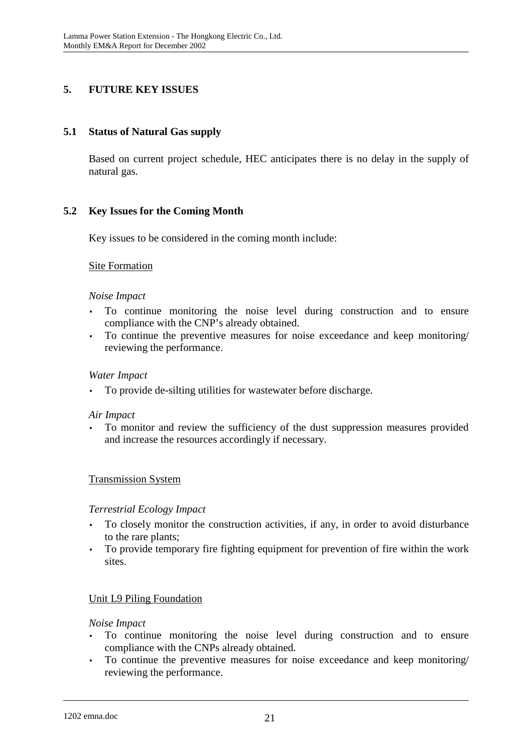# **5. FUTURE KEY ISSUES**

### **5.1 Status of Natural Gas supply**

Based on current project schedule, HEC anticipates there is no delay in the supply of natural gas.

## **5.2 Key Issues for the Coming Month**

Key issues to be considered in the coming month include:

### Site Formation

#### *Noise Impact*

- To continue monitoring the noise level during construction and to ensure compliance with the CNP's already obtained.
- To continue the preventive measures for noise exceedance and keep monitoring/ reviewing the performance.

#### *Water Impact*

• To provide de-silting utilities for wastewater before discharge.

#### *Air Impact*

• To monitor and review the sufficiency of the dust suppression measures provided and increase the resources accordingly if necessary.

### Transmission System

#### *Terrestrial Ecology Impact*

- To closely monitor the construction activities, if any, in order to avoid disturbance to the rare plants;
- To provide temporary fire fighting equipment for prevention of fire within the work sites.

### Unit L9 Piling Foundation

#### *Noise Impact*

- To continue monitoring the noise level during construction and to ensure compliance with the CNPs already obtained.
- To continue the preventive measures for noise exceedance and keep monitoring/ reviewing the performance.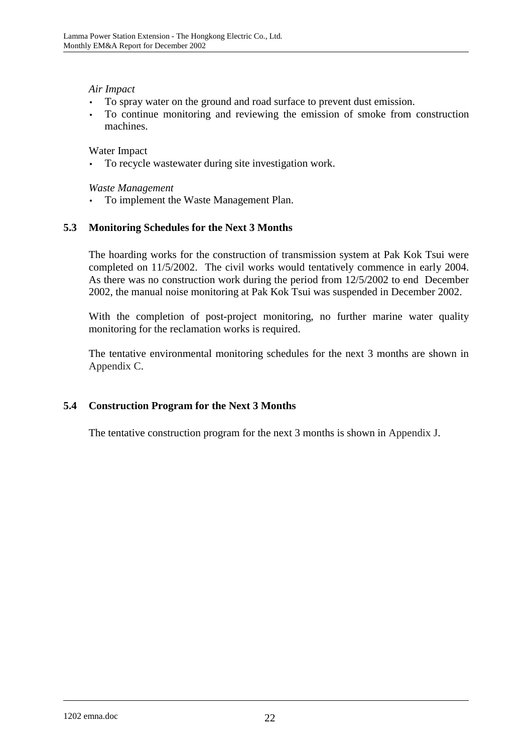#### *Air Impact*

- To spray water on the ground and road surface to prevent dust emission.
- To continue monitoring and reviewing the emission of smoke from construction machines.

Water Impact

To recycle wastewater during site investigation work.

*Waste Management* 

• To implement the Waste Management Plan.

### **5.3 Monitoring Schedules for the Next 3 Months**

The hoarding works for the construction of transmission system at Pak Kok Tsui were completed on 11/5/2002. The civil works would tentatively commence in early 2004. As there was no construction work during the period from 12/5/2002 to end December 2002, the manual noise monitoring at Pak Kok Tsui was suspended in December 2002.

With the completion of post-project monitoring, no further marine water quality monitoring for the reclamation works is required.

The tentative environmental monitoring schedules for the next 3 months are shown in Appendix C.

### **5.4 Construction Program for the Next 3 Months**

The tentative construction program for the next 3 months is shown in Appendix J.